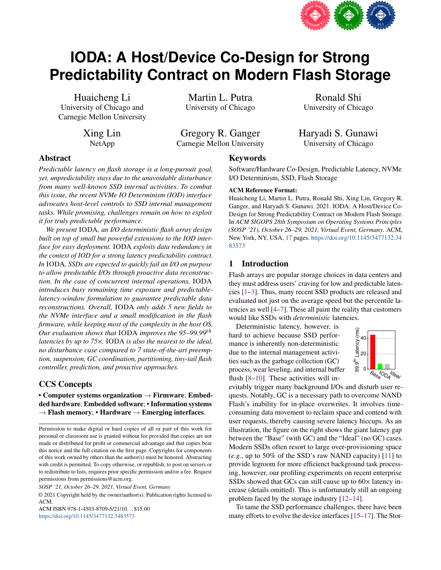

# **IODA: A Host/Device Co-Design for Strong Predictability Contract on Modern Flash Storage**

Huaicheng Li University of Chicago and Carnegie Mellon University

> Xing Lin NetApp

Martin L. Putra University of Chicago

Gregory R. Ganger Carnegie Mellon University

Ronald Shi University of Chicago

Haryadi S. Gunawi University of Chicago

# Abstract

*Predictable latency on flash storage is a long-pursuit goal, yet, unpredictability stays due to the unavoidable disturbance from many well-known SSD internal activities. To combat this issue, the recent NVMe IO Determinism (IOD) interface advocates host-level controls to SSD internal management tasks. While promising, challenges remain on how to exploit it for truly predictable performance.*

*We present* IODA*, an I/O deterministic flash array design built on top of small but powerful extensions to the IOD interface for easy deployment.* IODA *exploits data redundancy in the context of IOD for a strong latency predictability contract. In* IODA*, SSDs are expected to quickly fail an I/O on purpose to allow predictable I/Os through proactive data reconstruction. In the case of concurrent internal operations,* IODA *introduces busy remaining time exposure and predictablelatency-window formulation to guarantee predictable data reconstructions. Overall,* IODA *only adds 5 new fields to the NVMe interface and a small modification in the flash firmware, while keeping most of the complexity in the host OS. Our evaluation shows that* IODA *improves the* 95–99.99<sup>th</sup> *latencies by up to 75*⇥*.* IODA *is also the nearest to the ideal, no disturbance case compared to 7 state-of-the-art preemption, suspension, GC coordination, partitioning, tiny-tail flash controller, prediction, and proactive approaches.*

# CCS Concepts

• Computer systems organization  $\rightarrow$  Firmware; Embedded hardware; Embedded software; • Information systems  $\rightarrow$  Flash memory; • Hardware  $\rightarrow$  Emerging interfaces.

*SOSP '21, October 26–29, 2021, Virtual Event, Germany*

© 2021 Copyright held by the owner/author(s). Publication rights licensed to ACM.

ACM ISBN 978-1-4503-8709-5/21/10. . . \$15.00 https://doi.org/10.1145/3477132.3483573

# Keywords

Software/Hardware Co-Design, Predictable Latency, NVMe I/O Determinism, SSD, Flash Storage

#### ACM Reference Format:

Huaicheng Li, Martin L. Putra, Ronald Shi, Xing Lin, Gregory R. Ganger, and Haryadi S. Gunawi. 2021. IODA: A Host/Device Co-Design for Strong Predictability Contract on Modern Flash Storage. In *ACM SIGOPS 28th Symposium on Operating Systems Principles (SOSP '21), October 26–29, 2021, Virtual Event, Germany.* ACM, New York, NY, USA, 17 pages. https://doi.org/10.1145/3477132.34 83573

#### 1 Introduction

Flash arrays are popular storage choices in data centers and they must address users' craving for low and predictable latencies [1–3]. Thus, many recent SSD products are released and evaluated not just on the average speed but the percentile latencies as well [4–7]. These all paint the reality that customers would like SSDs with *deterministic* latencies.

Deterministic latency, however, is hard to achieve because SSD performance is inherently non-deterministic due to the internal management activities such as the garbage collection (GC) process, wear leveling, and internal buffer flush [8–10]. These activities will in-



evitably trigger many background I/Os and disturb user requests. Notably, GC is a necessary path to overcome NAND Flash's inability for in-place overwrites. It involves timeconsuming data movement to reclaim space and contend with user requests, thereby causing severe latency hiccups. As an illustration, the figure on the right shows the giant latency gap between the "Base" (with GC) and the "Ideal" (no GC) cases. Modern SSDs often resort to large over-provisioning space (*e.g.*, up to 50% of the SSD's raw NAND capacity) [11] to provide legroom for more efficienct background task processing, however, our profiling experiments on recent enterprise SSDs showed that GCs can still cause up to  $60 \times$  latency increase (details omitted). This is unfortunately still an ongoing problem faced by the storage industry [12–14].

To tame the SSD performance challenges, there have been many efforts to evolve the device interfaces [15–17]. The Stor-

Permission to make digital or hard copies of all or part of this work for personal or classroom use is granted without fee provided that copies are not made or distributed for profit or commercial advantage and that copies bear this notice and the full citation on the first page. Copyrights for components of this work owned by others than the author(s) must be honored. Abstracting with credit is permitted. To copy otherwise, or republish, to post on servers or to redistribute to lists, requires prior specific permission and/or a fee. Request permissions from permissions@acm.org.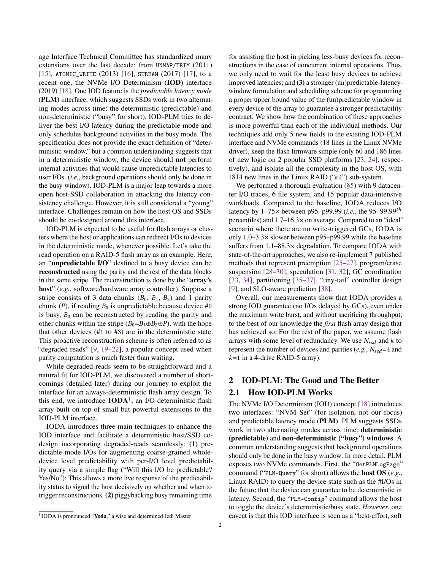age Interface Technical Committee has standardized many extensions over the last decade: from UNMAP/TRIM (2011) [15], ATOMIC\_WRITE (2013) [16], STREAM (2017) [17], to a recent one, the NVMe I/O Determinism (IOD) interface (2019) [18]. One IOD feature is the *predictable latency mode* (PLM) interface, which suggests SSDs work in two alternating modes across time: the deterministic (predictable) and non-deterministic ("busy" for short). IOD-PLM tries to deliver the best I/O latency during the predictable mode and only schedules background activities in the busy mode. The specification does not provide the exact definition of "deterministic window," but a common understanding suggests that in a deterministic window, the device should not perform internal activities that would cause unpredictable latencies to user I/Os. (*i.e.*, background operations should only be done in the busy window). IOD-PLM is a major leap towards a more open host-SSD collaboration in attacking the latency consistency challenge. However, it is still considered a "young" interface. Challenges remain on how the host OS and SSDs should be co-designed around this interface.

IOD-PLM is expected to be useful for flash arrays or clusters where the host or applications can redirect I/Os to devices in the deterministic mode, whenever possible. Let's take the read operation on a RAID-5 flash array as an example. Here, an "unpredictable I/O" destined to a busy device can be reconstructed using the parity and the rest of the data blocks in the same stripe. The reconstruction is done by the "array's host" (*e.g.*, software/hardware array controller). Suppose a stripe consists of 3 data chunks  $(B_0, B_1, B_2)$  and 1 parity chunk (P), if reading  $B_0$  is unpredictable because device #0 is busy,  $B_0$  can be reconstructed by reading the parity and other chunks within the stripe  $(B_0 = B_1 \oplus B_2 \oplus P)$ , with the hope that other devices (#1 to #3) are in the deterministic state. This proactive reconstruction scheme is often referred to as "degraded reads" [9, 19–22], a popular concept used when parity computation is much faster than waiting.

While degraded-reads seem to be straightforward and a natural fit for IOD-PLM, we discovered a number of shortcomings (detailed later) during our journey to exploit the interface for an always-deterministic flash array design. To this end, we introduce  $IODA<sup>1</sup>$ , an I/O deterministic flash array built on top of small but powerful extensions to the IOD-PLM interface.

IODA introduces three main techniques to enhance the IOD interface and facilitate a deterministic host/SSD codesign incorporating degraded-reads seamlessly: (1) predictable mode I/Os for augmenting coarse-grained wholedevice level predictability with per-I/O level predictability query via a simple flag ("Will this I/O be predictable? Yes/No"); This allows a more live response of the predictability status to signal the host decisively on whether and when to trigger reconstructions. (2) piggybacking busy remaining time

for assisting the host in picking less-busy devices for reconstructions in the case of concurrent internal operations. Thus, we only need to wait for the least busy devices to achieve improved latencies; and (3) a stronger (un)predictable-latencywindow formulation and scheduling scheme for programming a proper upper bound value of the (un)predictable window in every device of the array to guarantee a stronger predictability contract. We show how the combination of these approaches is more powerful than each of the individual methods. Our techniques add only 5 new fields to the existing IOD-PLM interface and NVMe commands (18 lines in the Linux NVMe driver), keep the flash firmware simple (only 60 and 186 lines of new logic on 2 popular SSD platforms [23, 24], respectively), and isolate all the complexity in the host OS, with 1814 new lines in the Linux RAID ("md") sub-system.

We performed a thorough evaluation (§5) with 9 datacenter I/O traces, 6 file system, and 15 popular data-intensive workloads. Compared to the baseline, IODA reduces I/O latency by  $1-75 \times$  between p95–p99.99 (*i.e.*, the 95–99.99<sup>th</sup> percentiles) and  $1.7-16.3\times$  on average. Compared to an "ideal" scenario where there are no write-triggered GCs, IODA is only  $1.0-3.3\times$  slower between p95–p99.99 while the baseline suffers from  $1.1-88.3\times$  degradation. To compare IODA with state-of-the-art approaches, we also re-implement 7 published methods that represent preemption [25–27], program/erase suspension [28–30], speculation [31, 32], GC coordination [33, 34], partitioning [35–37], "tiny-tail" controller design [9], and SLO-aware prediction [38].

Overall, our measurements show that IODA provides a strong IOD guarantee (no I/Os delayed by GCs), even under the maximum write burst, and without sacrificing throughput; to the best of our knowledge the *first* flash array design that has achieved so. For the rest of the paper, we assume flash arrays with some level of redundancy. We use  $N_{ssd}$  and  $k$  to represent the number of devices and parities  $(e.g., N_{ssd}=4$  and  $k=1$  in a 4-drive RAID-5 array).

# 2 IOD-PLM: The Good and The Better

#### 2.1 How IOD-PLM Works

The NVMe I/O Determinism (IOD) concept [18] introduces two interfaces: "NVM Set" (for isolation, not our focus) and predictable latency mode (PLM). PLM suggests SSDs work in two alternating modes across time: deterministic (predictable) and non-deterministic ("busy") windows. A common understanding suggests that background operations should only be done in the busy window. In more detail, PLM exposes two NVMe commands. First, the "GetPLMLogPage" command ("PLM-Query" for short) allows the host OS (*e.g.*, Linux RAID) to query the device state such as the #I/Os in the future that the device can guarantee to be deterministic in latency. Second, the "PLM-Config" command allows the host to toggle the device's deterministic/busy state. *However*, one caveat is that this IOD interface is seen as a "best-effort, soft

<sup>1</sup>IODA is pronounced "Yoda," a wise and determined Jedi Master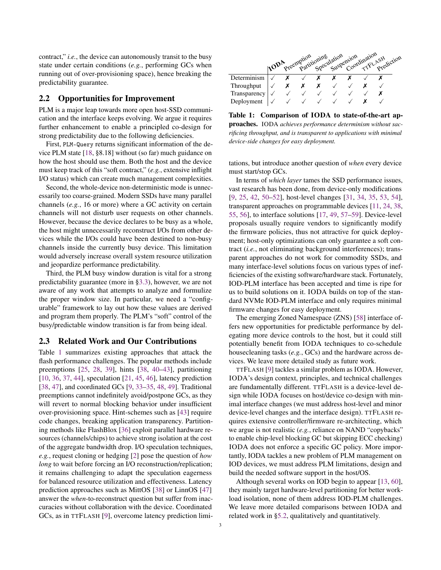contract," *i.e.*, the device can autonomously transit to the busy state under certain conditions (*e.g.*, performing GCs when running out of over-provisioning space), hence breaking the predictability guarantee.

## 2.2 Opportunities for Improvement

PLM is a major leap towards more open host-SSD communication and the interface keeps evolving. We argue it requires further enhancement to enable a principled co-design for strong predictability due to the following deficiencies.

First, PLM-Query returns significant information of the device PLM state [18, §8.18] without (so far) much guidance on how the host should use them. Both the host and the device must keep track of this "soft contract," (*e.g.*, extensive inflight I/O status) which can create much management complexities.

Second, the whole-device non-deterministic mode is unnecessarily too coarse-grained. Modern SSDs have many parallel channels (*e.g.*, 16 or more) where a GC activity on certain channels will not disturb user requests on other channels. However, because the device declares to be busy as a whole, the host might unnecessarily reconstruct I/Os from other devices while the I/Os could have been destined to non-busy channels inside the currently busy device. This limitation would adversely increase overall system resource utilization and jeopardize performance predictability.

Third, the PLM busy window duration is vital for a strong predictability guarantee (more in §3.3), however, we are not aware of any work that attempts to analyze and formulize the proper window size. In particular, we need a "configurable" framework to lay out how these values are derived and program them properly. The PLM's "soft" control of the busy/predictable window transition is far from being ideal.

## 2.3 Related Work and Our Contributions

Table 1 summarizes existing approaches that attack the flash performance challenges. The popular methods include preemptions [25, 28, 39], hints [38, 40–43], partitioning [10, 36, 37, 44], speculation [21, 45, 46], latency prediction [38, 47], and coordinated GCs [9, 33–35, 48, 49]. Traditional preemptions cannot indefinitely avoid/postpone GCs, as they will revert to normal blocking behavior under insufficient over-provisioning space. Hint-schemes such as [43] require code changes, breaking application transparency. Partitioning methods like FlashBlox [36] exploit parallel hardware resources (channels/chips) to achieve strong isolation at the cost of the aggregate bandwidth drop. I/O speculation techniques, *e.g.*, request cloning or hedging [2] pose the question of *how long* to wait before forcing an I/O reconstruction/replication; it remains challenging to adapt the speculation eagerness for balanced resource utilization and effectiveness. Latency prediction approaches such as MittOS [38] or LinnOS [47] answer the *when*-to-reconstruct question but suffer from inaccuracies without collaboration with the device. Coordinated GCs, as in TTFLASH [9], overcome latency prediction limi-



Table 1: Comparison of IODA to state-of-the-art approaches. IODA *achieves performance determinism without sacrificing throughput, and is transparent to applications with minimal device-side changes for easy deployment.*

tations, but introduce another question of *when* every device must start/stop GCs.

In terms of *which layer* tames the SSD performance issues, vast research has been done, from device-only modifications [9, 25, 42, 50–52], host-level changes [31, 34, 35, 53, 54], transparent approaches on programmable devices [11, 24, 38, 55, 56], to interface solutions [17, 49, 57–59]. Device-level proposals usually require vendors to significantly modify the firmware policies, thus not attractive for quick deployment; host-only optimizations can only guarantee a soft contract (*i.e.*, not eliminating background interferences); transparent approaches do not work for commodity SSDs, and many interface-level solutions focus on various types of inefficiencies of the existing software/hardware stack. Fortunately, IOD-PLM interface has been accepted and time is ripe for us to build solutions on it. IODA builds on top of the standard NVMe IOD-PLM interface and only requires minimal firmware changes for easy deployment.

The emerging Zoned Namespace (ZNS) [58] interface offers new opportunities for predictable performance by delegating more device controls to the host, but it could still potentially benefit from IODA techniques to co-schedule housecleaning tasks (*e.g.*, GCs) and the hardware across devices. We leave more detailed study as future work.

TTFLASH [9] tackles a similar problem as IODA. However, IODA's design context, principles, and technical challenges are fundamentally different. TTFLASH is a device-level design while IODA focuses on host/device co-design with minimal interface changes (we must address host-level and minor device-level changes and the interface design). TTFLASH requires extensive controller/firmware re-architecting, which we argue is not realistic (*e.g.*, reliance on NAND "copybacks" to enable chip-level blocking GC but skipping ECC checking) IODA does not enforce a specific GC policy. More importantly, IODA tackles a new problem of PLM management on IOD devices, we must address PLM limitations, design and build the needed software support in the host/OS.

Although several works on IOD begin to appear [13, 60], they mainly target hardware-level partitioning for better workload isolation, none of them address IOD-PLM challenges. We leave more detailed comparisons between IODA and related work in §5.2, qualitatively and quantitatively.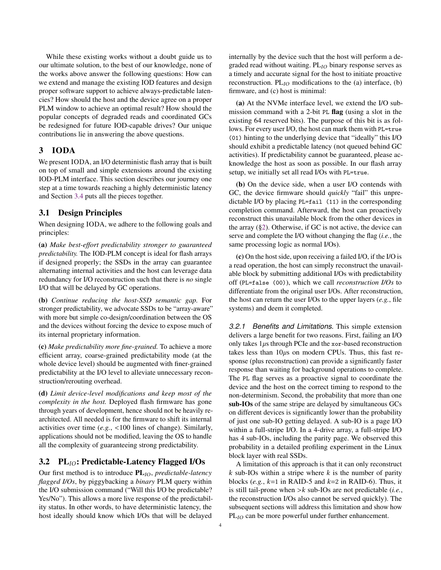While these existing works without a doubt guide us to our ultimate solution, to the best of our knowledge, none of the works above answer the following questions: How can we extend and manage the existing IOD features and design proper software support to achieve always-predictable latencies? How should the host and the device agree on a proper PLM window to achieve an optimal result? How should the popular concepts of degraded reads and coordinated GCs be redesigned for future IOD-capable drives? Our unique contributions lie in answering the above questions.

## 3 IODA

We present IODA, an I/O deterministic flash array that is built on top of small and simple extensions around the existing IOD-PLM interface. This section describes our journey one step at a time towards reaching a highly deterministic latency and Section 3.4 puts all the pieces together.

## 3.1 Design Principles

When designing IODA, we adhere to the following goals and principles:

(a) *Make best-effort predictability stronger to guaranteed predictability.* The IOD-PLM concept is ideal for flash arrays if designed properly; the SSDs in the array can guarantee alternating internal activities and the host can leverage data redundancy for I/O reconstruction such that there is *no* single I/O that will be delayed by GC operations.

(b) *Continue reducing the host-SSD semantic gap.* For stronger predictability, we advocate SSDs to be "array-aware" with more but simple co-design/coordination between the OS and the devices without forcing the device to expose much of its internal proprietary information.

(c) *Make predictability more fine-grained.* To achieve a more efficient array, coarse-grained predictability mode (at the whole device level) should be augmented with finer-grained predictability at the I/O level to alleviate unnecessary reconstruction/rerouting overhead.

(d) *Limit device-level modifications and keep most of the complexity in the host.* Deployed flash firmware has gone through years of development, hence should not be heavily rearchitected. All needed is for the firmware to shift its internal activities over time (*e.g.*, *<*100 lines of change). Similarly, applications should not be modified, leaving the OS to handle all the complexity of guaranteeing strong predictability.

## 3.2  $PL_{IO}$ : Predictable-Latency Flagged I/Os

Our first method is to introduce  $PL_{IO}$ , *predictable-latency flagged I/Os*, by piggybacking a *binary* PLM query within the I/O submission command ("Will this I/O be predictable? Yes/No"). This allows a more live response of the predictability status. In other words, to have deterministic latency, the host ideally should know which I/Os that will be delayed

internally by the device such that the host will perform a degraded read without waiting.  $PL<sub>IO</sub>$  binary response serves as a timely and accurate signal for the host to initiate proactive reconstruction.  $PL_{IO}$  modifications to the (a) interface, (b) firmware, and (c) host is minimal:

(a) At the NVMe interface level, we extend the I/O submission command with a 2-bit PL flag (using a slot in the existing 64 reserved bits). The purpose of this bit is as follows. For every user I/O, the host can mark them with PL=true (01) hinting to the underlying device that "ideally" this I/O should exhibit a predictable latency (not queued behind GC activities). If predictability cannot be guaranteed, please acknowledge the host as soon as possible. In our flash array setup, we initially set all read I/Os with PL=true.

(b) On the device side, when a user I/O contends with GC, the device firmware should *quickly* "fail" this unpredictable I/O by placing PL=fail (11) in the corresponding completion command. Afterward, the host can proactively reconstruct this unavailable block from the other devices in the array (§2). Otherwise, if GC is not active, the device can serve and complete the I/O without changing the flag (*i.e.*, the same processing logic as normal I/Os).

(c) On the host side, upon receiving a failed I/O, if the I/O is a read operation, the host can simply reconstruct the unavailable block by submitting additional I/Os with predictability off (PL=false (00)), which we call *reconstruction I/Os* to differentiate from the original user I/Os. After reconstruction, the host can return the user I/Os to the upper layers (*e.g.*, file systems) and deem it completed.

*3.2.1 Benefits and Limitations.* This simple extension delivers a large benefit for two reasons. First, failing an I/O only takes  $1\mu s$  through PCIe and the xor-based reconstruction takes less than  $10\mu s$  on modern CPUs. Thus, this fast response (plus reconstruction) can provide a significantly faster response than waiting for background operations to complete. The PL flag serves as a proactive signal to coordinate the device and the host on the correct timing to respond to the non-determinism. Second, the probability that more than one sub-IOs of the same stripe are delayed by simultaneous GCs on different devices is significantly lower than the probability of just one sub-IO getting delayed. A sub-IO is a page I/O within a full-stripe I/O. In a 4-drive array, a full-stripe I/O has 4 sub-IOs, including the parity page. We observed this probability in a detailed profiling experiment in the Linux block layer with real SSDs.

A limitation of this approach is that it can only reconstruct  $k$  sub-IOs within a stripe where  $k$  is the number of parity blocks (*e.g.*,  $k=1$  in RAID-5 and  $k=2$  in RAID-6). Thus, it is still tail-prone when  $> k$  sub-IOs are not predictable (*i.e.*, the reconstruction I/Os also cannot be served quickly). The subsequent sections will address this limitation and show how  $PL_{IO}$  can be more powerful under further enhancement.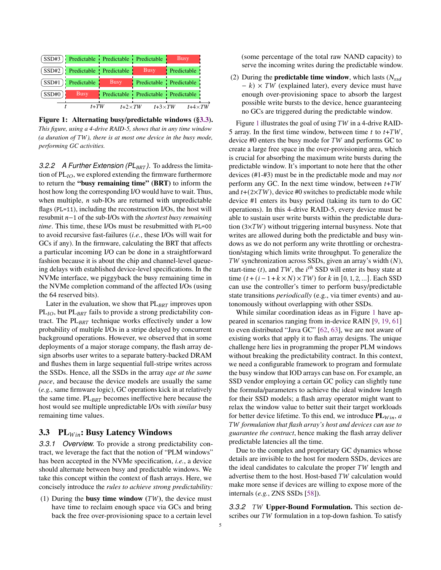|         |                         | (SSD#3) Predictable Predictable Predictable |                                     | <b>Busy</b>             |  |
|---------|-------------------------|---------------------------------------------|-------------------------------------|-------------------------|--|
| (SSD#2) | Predictable Predictable |                                             | <b>Busy</b>                         | Predictable             |  |
| SSD#1   | Predictable             | <b>Busy</b>                                 |                                     | Predictable Predictable |  |
| SSD#0   | <b>Busy</b>             |                                             | Predictable Predictable Predictable |                         |  |
|         | $t+TW$                  | $t+2\times TW$                              | $t+3\times TW$                      | $t+4 \times TW$         |  |

Figure 1: Alternating busy/predictable windows (§3.3). *This figure, using a 4-drive RAID-5, shows that in any time window (a duration of TW), there is at most one device in the busy mode, performing GC activities.*

*3.2.2 A Further Extension (PL<sub>BRT</sub>).* To address the limitation of  $PL<sub>IO</sub>$ , we explored extending the firmware furthermore to return the "busy remaining time" (BRT) to inform the host how long the corresponding I/O would have to wait. Thus, when multiple,  $n$  sub-IOs are returned with unpredictable flags (PL=11), including the reconstruction I/Os, the host will resubmit  $n-1$  of the sub-I/Os with the *shortest busy remaining time*. This time, these I/Os must be resubmitted with PL=00 to avoid recursive fast-failures (*i.e.*, these I/Os will wait for GCs if any). In the firmware, calculating the BRT that affects a particular incoming I/O can be done in a straightforward fashion because it is about the chip and channel-level queueing delays with established device-level specifications. In the NVMe interface, we piggyback the busy remaining time in the NVMe completion command of the affected I/Os (using the 64 reserved bits).

Later in the evaluation, we show that  $PL_{BRT}$  improves upon  $PL_{IO}$ , but  $PL_{BRT}$  fails to provide a strong predictability contract. The  $PL_{BRT}$  technique works effectively under a low probability of multiple I/Os in a stripe delayed by concurrent background operations. However, we observed that in some deployments of a major storage company, the flash array design absorbs user writes to a separate battery-backed DRAM and flushes them in large sequential full-stripe writes across the SSDs. Hence, all the SSDs in the array *age at the same pace*, and because the device models are usually the same (*e.g.*, same firmware logic), GC operations kick in at relatively the same time.  $PL_{BRT}$  becomes ineffective here because the host would see multiple unpredictable I/Os with *similar* busy remaining time values.

## 3.3 PL $_{Win}$ : Busy Latency Windows

*3.3.1 Overview.* To provide a strong predictability contract, we leverage the fact that the notion of "PLM windows" has been accepted in the NVMe specification, *i.e.*, a device should alternate between busy and predictable windows. We take this concept within the context of flash arrays. Here, we concisely introduce the *rules to achieve strong predictability:*

(1) During the busy time window  $(TW)$ , the device must have time to reclaim enough space via GCs and bring back the free over-provisioning space to a certain level (some percentage of the total raw NAND capacity) to serve the incoming writes during the predictable window.

(2) During the **predictable time window**, which lasts  $(N_{ssd})$  $-k \times TW$  (explained later), every device must have enough over-provisioning space to absorb the largest possible write bursts to the device, hence guaranteeing no GCs are triggered during the predictable window.

Figure 1 illustrates the goal of using  $TW$  in a 4-drive RAID-5 array. In the first time window, between time t to  $t+TW$ , device  $#0$  enters the busy mode for  $TW$  and performs GC to create a large free space in the over-provisioning area, which is crucial for absorbing the maximum write bursts during the predictable window. It's important to note here that the other devices (#1-#3) must be in the predictable mode and may *not* perform any GC. In the next time window, between  $t+TW$ and  $t+(2\times TW)$ , device #0 switches to predictable mode while device #1 enters its busy period (taking its turn to do GC operations). In this 4-drive RAID-5, every device must be able to sustain user write bursts within the predictable duration  $(3\times TW)$  without triggering internal busyness. Note that writes are allowed during both the predictable and busy windows as we do not perform any write throttling or orchestration/staging which limits write throughput. To generalize the  $TW$  synchronization across SSDs, given an array's width  $(N)$ , start-time  $(t)$ , and  $TW$ , the  $i<sup>th</sup>$  SSD will enter its busy state at time  $(t + (i - 1 + k \times N) \times TW)$  for k in [0, 1, 2, ...]. Each SSD can use the controller's timer to perform busy/predictable state transitions *periodically* (e.g., via timer events) and autonomously without overlapping with other SSDs.

While similar coordination ideas as in Figure 1 have appeared in scenarios ranging from in-device RAIN [9, 19, 61] to even distributed "Java GC" [62, 63], we are not aware of existing works that apply it to flash array designs. The unique challenge here lies in programming the proper PLM windows without breaking the predictability contract. In this context, we need a configurable framework to program and formulate the busy window that IOD arrays can base on. For example, an SSD vendor employing a certain GC policy can slightly tune the formula/parameters to achieve the ideal window length for their SSD models; a flash array operator might want to relax the window value to better suit their target workloads for better device lifetime. To this end, we introduce  $PL_{Win}$ , *a* ), *formulation that flash array's host and devices can use to guarantee the contract*, hence making the flash array deliver predictable latencies all the time.

Due to the complex and proprietary GC dynamics whose details are invisible to the host for modern SSDs, devices are the ideal candidates to calculate the proper  $TW$  length and advertise them to the host. Host-based  $TW$  calculation would make more sense if devices are willing to expose more of the internals (*e.g.*, ZNS SSDs [58]).

**3.3.2** *TW* **Upper-Bound Formulation.** This section describes our  $TW$  formulation in a top-down fashion. To satisfy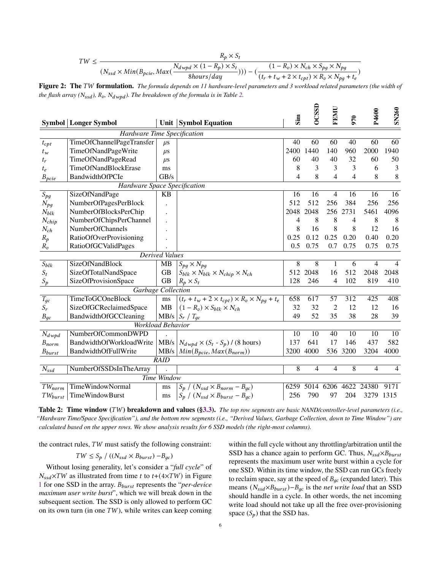$$
TW \leq \frac{R_p \times S_t}{(N_{ssd} \times Min(B_{pcie}, Max(\frac{N_{dwpd} \times (1 - R_p) \times S_t}{8hours/day}))) - (\frac{(1 - R_v) \times N_{ch} \times S_{pg} \times N_{pg}}{(t_r + t_w + 2 \times t_{cpt}) \times R_v \times N_{pg} + t_e})}
$$

Figure 2: The TW formulation. *The formula depends on 11 hardware-level parameters and 3 workload related parameters (the width of the flash array (* $N_{ssd}$ *),*  $R_v$ *,*  $N_{dwpd}$ *). The breakdown of the formula is in Table 2.* 

|                                                      |                              |                       |                                                                 | $\sin$ | <b>OCSSI</b>   | FEMU           | 970  | P4600     | <b>SN260</b>    |
|------------------------------------------------------|------------------------------|-----------------------|-----------------------------------------------------------------|--------|----------------|----------------|------|-----------|-----------------|
|                                                      | <b>Symbol</b> Longer Symbol  |                       | Unit   Symbol Equation                                          |        |                |                |      |           |                 |
|                                                      | Hardware Time Specification  |                       |                                                                 |        |                |                |      |           |                 |
| $t_{cpt}$                                            | TimeOfChannelPageTransfer    | $\mu$ s               |                                                                 | 40     | 60             | 60             | 40   | 60        | 60              |
| $t_w$                                                | TimeOfNandPageWrite          | $\mu$ s               |                                                                 | 2400   | 1440           | 140            | 960  | 2000      | 1940            |
| $t_r$                                                | TimeOfNandPageRead           | $\mu$ s               |                                                                 | 60     | 40             | 40             | 32   | 60        | 50              |
| $t_e$                                                | TimeOfNandBlockErase         | ms                    |                                                                 | 8      | 3              | 3              | 3    | 6         | 3               |
| $B_{\rho \underline{c} \underline{i} \underline{e}}$ | BandwidthOfPCIe              | GB/s                  |                                                                 | 4      | 8              | 4              | 4    | 8         | $8\phantom{.0}$ |
|                                                      | Hardware Space Specification |                       |                                                                 |        |                |                |      |           |                 |
| $S_{pg}$                                             | SizeOfNandPage               | <b>KB</b>             |                                                                 | 16     | 16             | 4              | 16   | 16        | 16              |
| $N_{pg}$                                             | NumberOfPagesPerBlock        |                       |                                                                 | 512    | 512            | 256            | 384  | 256       | 256             |
| $N_{blk}$                                            | NumberOfBlocksPerChip        |                       |                                                                 | 2048   | 2048           | 256            | 2731 | 5461      | 4096            |
| $N_{chip}$                                           | NumberOfChipsPerChannel      |                       |                                                                 | 4      | 8              | 8              | 4    | 8         | 8               |
| $N_{ch}$                                             | NumberOfChannels             |                       |                                                                 | 8      | 16             | 8              | 8    | 12        | 16              |
| $R_p$                                                | RatioOfOverProvisioning      |                       |                                                                 | 0.25   | 0.12           | 0.25           | 0.20 | 0.40      | 0.20            |
| $R_v$                                                | RatioOfGCValidPages          |                       |                                                                 | 0.5    | 0.75           | 0.7            | 0.75 | 0.75      | 0.75            |
|                                                      |                              | <b>Derived Values</b> |                                                                 |        |                |                |      |           |                 |
| $S_{blk}$                                            | <b>SizeOfNandBlock</b>       | MB                    | $S_{pq} \times N_{pq}$                                          | 8      | $\overline{8}$ | 1              | 6    | 4         | $\overline{4}$  |
| $S_t$                                                | SizeOfTotalNandSpace         | <b>GB</b>             | $S_{blk} \times N_{blk} \times N_{chip} \times N_{ch}$          | 512    | 2048           | 16             | 512  | 2048      | 2048            |
| $S_p$                                                | SizeOfProvisionSpace         | <b>GB</b>             | $R_p \times S_t$                                                | 128    | 246            | 4              | 102  | 819       | 410             |
| Garbage Collection                                   |                              |                       |                                                                 |        |                |                |      |           |                 |
| $T_{gc}$                                             | <b>TimeToGCOneBlock</b>      | ms                    | $(t_r + t_w + 2 \times t_{cpt}) \times R_v \times N_{pq} + t_e$ | 658    | 617            | 57             | 312  | 425       | 408             |
| $S_r$                                                | SizeOfGCReclaimedSpace       | MB                    | $(1 - R_v) \times S_{blk} \times N_{ch}$                        | 32     | 32             | $\overline{2}$ | 12   | 12        | 16              |
| $B_{gc}$                                             | BandwidthOfGCCleaning        | MB/s                  | $S_r / T_{qc}$                                                  | 49     | 52             | 35             | 38   | 28        | 39              |
| <b>Workload Behavior</b>                             |                              |                       |                                                                 |        |                |                |      |           |                 |
| $N_{dwpd}$                                           | NumberOfCommonDWPD           |                       |                                                                 | 10     | 10             | 40             | 10   | 10        | 10              |
| $B_{norm}$                                           | BandwidthOfWorkloadWrite     | MB/s                  | $N_{dwpd} \times (S_t - S_p) / (8 \text{ hours})$               | 137    | 641            | 17             | 146  | 437       | 582             |
| $B_{burst}$                                          | BandwidthOfFullWrite         | MB/s                  | $Min(B_{\text{pcie}}, \text{Max}(B_{\text{norm}}))$             | 3200   | 4000           | 536            | 3200 | 3204      | 4000            |
| <b>RAID</b>                                          |                              |                       |                                                                 |        |                |                |      |           |                 |
| $N_{ssd}$                                            | NumberOfSSDsInTheArray       |                       |                                                                 | 8      | 4              | 4              | 8    | 4         | $\overline{4}$  |
|                                                      | <b>Time Window</b>           |                       |                                                                 |        |                |                |      |           |                 |
| $TW_{norm}$                                          | <b>TimeWindowNormal</b>      | ms                    | $S_p / (N_{ssd} \times B_{norm} - B_{qc})$                      | 6259   | 5014           | 6206           | 4622 | 24380     | 9171            |
| $TW_{burst}$                                         | TimeWindowBurst              | ms                    | $S_p / (N_{ssd} \times B_{burst} - B_{qc})$                     | 256    | 790            | 97             | 204  | 3279 1315 |                 |

Table 2: Time window (TW) breakdown and values (§3.3). *The top row segments are basic NAND/controller-level parameters (i.e.*, *"Hardware Time/Space Specification"), and the bottom row segments (i.e., "Derived Values, Garbage Collection, down to Time Window") are calculated based on the upper rows. We show analysis results for 6 SSD models (the right-most columns).*

the contract rules,  $TW$  must satisfy the following constraint:

$$
TW \leq S_p / ((N_{ssd} \times B_{burst}) - B_{gc})
$$

Without losing generality, let's consider a "*full cycle*" of  $N_{ssd} \times TW$  as illustrated from time t to t+(4×TW) in Figure 1 for one SSD in the array. B<sub>burst</sub> represents the "*per-device maximum user write burst*", which we will break down in the subsequent section. The SSD is only allowed to perform GC on its own turn (in one  $TW$ ), while writes can keep coming within the full cycle without any throttling/arbitration until the SSD has a chance again to perform GC. Thus,  $N_{ssd} \times B_{burst}$ represents the maximum user write burst within a cycle for one SSD. Within its time window, the SSD can run GCs freely to reclaim space, say at the speed of  $B_{qc}$  (expanded later). This means  $(N_{ssd} \times B_{burst}) - B_{qc}$  is the *net write load* that an SSD should handle in a cycle. In other words, the net incoming write load should not take up all the free over-provisioning space  $(S_p)$  that the SSD has.

 $\Box$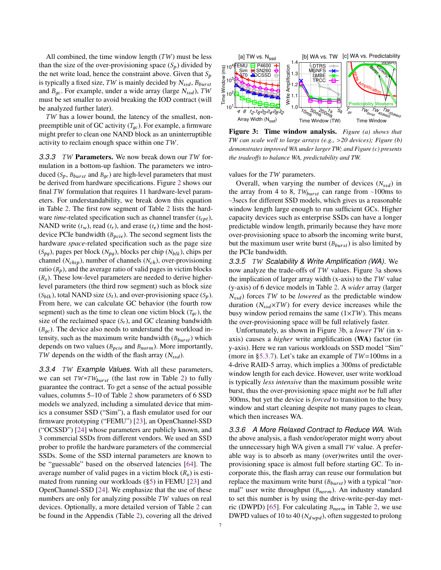All combined, the time window length  $(TW)$  must be less than the size of the over-provisioning space  $(S_p)$  divided by the net write load, hence the constraint above. Given that  $S_p$ is typically a fixed size,  $TW$  is mainly decided by  $N_{ssd}$ ,  $B_{burst}$ and  $B_{qc}$ . For example, under a wide array (large  $N_{ssd}$ ), TW must be set smaller to avoid breaking the IOD contract (will be analyzed further later).

TW has a lower bound, the latency of the smallest, nonpreemptible unit of GC activity  $(T_{qc})$ . For example, a firmware might prefer to clean one NAND block as an uninterruptible activity to reclaim enough space within one  $TW$ .

**3.3.3** *TW* Parameters. We now break down our *TW* formulation in a bottom-up fashion. The parameters we introduced ( $S_p$ ,  $B_{burst}$  and  $B_{qc}$ ) are high-level parameters that must be derived from hardware specifications. Figure 2 shows our final  $TW$  formulation that requires 11 hardware-level parameters. For understandability, we break down this equation in Table 2. The first row segment of Table 2 lists the hardware *time*-related specification such as channel transfer  $(t_{cpt})$ , NAND write  $(t_w)$ , read  $(t_r)$ , and erase  $(t_e)$  time and the hostdevice PCIe bandwidth  $(B_{\text{pcie}})$ . The second segment lists the hardware *space*-related specification such as the page size  $(S_{pg})$ , pages per block  $(N_{pg})$ , blocks per chip  $(N_{blk})$ , chips per channel ( $N_{chip}$ ), number of channels ( $N_{ch}$ ), over-provisioning ratio  $(R_p)$ , and the average ratio of valid pages in victim blocks  $(R_v)$ . These low-level parameters are needed to derive higherlevel parameters (the third row segment) such as block size  $(S_{blk})$ , total NAND size  $(S_t)$ , and over-provisioning space  $(S_p)$ . From here, we can calculate GC behavior (the fourth row segment) such as the time to clean one victim block  $(T_{qc})$ , the size of the reclaimed space  $(S_r)$ , and GC cleaning bandwidth  $(B_{ac})$ . The device also needs to understand the workload intensity, such as the maximum write bandwidth  $(B_{burst})$  which depends on two values ( $B_{pcie}$  and  $B_{norm}$ ). More importantly, TW depends on the width of the flash array  $(N_{ssd})$ .

**3.3.4** *TW Example Values.* With all these parameters, we can set  $TW = TW_{burst}$  (the last row in Table 2) to fully guarantee the contract. To get a sense of the actual possible values, columns 5–10 of Table 2 show parameters of 6 SSD models we analyzed, including a simulated device that mimics a consumer SSD ("Sim"), a flash emulator used for our firmware prototyping ("FEMU") [23], an OpenChannel-SSD ("OCSSD") [24] whose parameters are publicly known, and 3 commercial SSDs from different vendors. We used an SSD prober to profile the hardware parameters of the commercial SSDs. Some of the SSD internal parameters are known to be "guessable" based on the observed latencies [64]. The average number of valid pages in a victim block  $(R_n)$  is estimated from running our workloads (§5) in FEMU [23] and OpenChannel-SSD [24]. We emphasize that the use of these numbers are only for analyzing possible  $TW$  values on real devices. Optionally, a more detailed version of Table 2 can be found in the Appendix (Table 2), covering all the drived



Figure 3: Time window analysis. *Figure (a) shows that TW can scale well to large arrays (e.g., >20 devices); Figure (b) demonstrates improved WA under larger TW; and Figure (c) presents the tradeoffs to balance WA, predictability and TW.*

values for the  $TW$  parameters.

Overall, when varying the number of devices  $(N_{ssd})$  in the array from 4 to 8,  $TW_{burst}$  can range from  $\sim100\text{ms}$  to ⇠3secs for different SSD models, which gives us a reasonable window length large enough to run sufficient GCs. Higher capacity devices such as enterprise SSDs can have a longer predictable window length, primarily because they have more over-provisioning space to absorb the incoming write burst, but the maximum user write burst  $(B_{burst})$  is also limited by the PCIe bandwidth.

*3.3.5* ), *Scalability & Write Amplification (WA).* We now analyze the trade-offs of  $TW$  values. Figure 3a shows the implication of larger array width (x-axis) to the  $TW$  value (y-axis) of 6 device models in Table 2. A *wider* array (larger  $N_{ssd}$ ) forces TW to be *lowered* as the predictable window duration  $(N_{ssd} \times TW)$  for every device increases while the busy window period remains the same  $(1\times TW)$ . This means the over-provisioning space will be full relatively faster.

Unfortunately, as shown in Figure 3b, a *lower TW* (in xaxis) causes a *higher* write amplification (WA) factor (in y-axis). Here we ran various workloads on SSD model "Sim" (more in §5.3.7). Let's take an example of  $TW=100$ ms in a 4-drive RAID-5 array, which implies a 300ms of predictable window length for each device. However, user write workload is typically *less intensive* than the maximum possible write burst, thus the over-provisioning space might *not* be full after 300ms, but yet the device is *forced* to transition to the busy window and start cleaning despite not many pages to clean, which then increases WA.

*3.3.6 A More Relaxed Contract to Reduce WA.* With the above analysis, a flash vendor/operator might worry about the unnecessary high WA given a small  $TW$  value. A preferable way is to absorb as many (over)writes until the overprovisioning space is almost full before starting GC. To incorporate this, the flash array can reuse our formulation but replace the maximum write burst  $(B_{burst})$  with a typical "normal" user write throughput  $(B_{norm})$ . An industry standard to set this number is by using the drive-write-per-day metric (DWPD) [65]. For calculating  $B_{norm}$  in Table 2, we use DWPD values of 10 to 40 ( $N_{dwpd}$ ), often suggested to prolong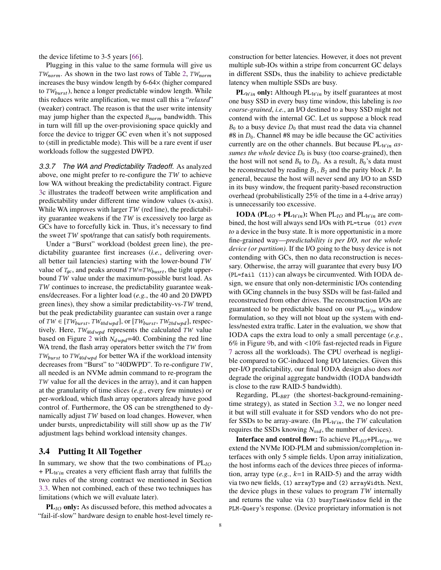the device lifetime to 3-5 years [66].

Plugging in this value to the same formula will give us  $TW_{norm}$ . As shown in the two last rows of Table 2,  $TW_{norm}$ increases the busy window length by  $6-64\times$  (higher compared to  $TW_{burst}$ ), hence a longer predictable window length. While this reduces write amplification, we must call this a "*relaxed*" (weaker) contract. The reason is that the user write intensity may jump higher than the expected  $B_{norm}$  bandwidth. This in turn will fill up the over-provisioning space quickly and force the device to trigger GC even when it's not supposed to (still in predictable mode). This will be a rare event if user workloads follow the suggested DWPD.

*3.3.7 The WA and Predictability Tradeoff.* As analyzed above, one might prefer to re-configure the  $TW$  to achieve low WA without breaking the predictability contract. Figure 3c illustrates the tradeoff between write amplification and predictability under different time window values (x-axis). While WA improves with larger  $TW$  (red line), the predictability guarantee weakens if the  $TW$  is excessively too large as GCs have to forcefully kick in. Thus, it's necessary to find the sweet  $TW$  spot/range that can satisfy both requirements.

Under a "Burst" workload (boldest green line), the predictability guarantee first increases (*i.e.*, delivering overall better tail latencies) starting with the lower-bound  $TW$ value of  $T_{qc}$ , and peaks around  $TW = TW_{burst}$ , the tight upperbound  $TW$  value under the maximum-possible burst load. As TW continues to increase, the predictability guarantee weakens/decreases. For a lighter load (*e.g.*, the 40 and 20 DWPD green lines), they show a similar predictability-vs- $TW$  trend, but the peak predictability guarantee can sustain over a range of  $TW \in [TW_{burst}, TW_{40dwpd}]$ , or  $[TW_{burst}, TW_{20dwpd}]$ , respectively. Here,  $TW_{40dwpd}$  represents the calculated TW value based on Figure 2 with  $N_{dwpd}$ =40. Combining the red line WA trend, the flash array operators better switch the  $TW$  from  $TW_{burst}$  to  $TW_{40dwpd}$  for better WA if the workload intensity decreases from "Burst" to "40DWPD". To re-configure  $TW$ , all needed is an NVMe admin command to re-program the  $TW$  value for all the devices in the array), and it can happen at the granularity of time slices (*e.g.*, every few minutes) or per-workload, which flash array operators already have good control of. Furthermore, the OS can be strengthened to dynamically adjust  $TW$  based on load changes. However, when under bursts, unpredictability will still show up as the  $TW$ adjustment lags behind workload intensity changes.

#### 3.4 Putting It All Together

In summary, we show that the two combinations of  $PL_{IO}$ +  $PL_{Win}$  creates a very efficient flash array that fulfills the two rules of the strong contract we mentioned in Section 3.3. When not combined, each of these two techniques has limitations (which we will evaluate later).

 $PL<sub>IO</sub>$  only: As discussed before, this method advocates a "fail-if-slow" hardware design to enable host-level timely re-

construction for better latencies. However, it does not prevent multiple sub-IOs within a stripe from concurrent GC delays in different SSDs, thus the inability to achieve predictable latency when multiple SSDs are busy.

 $PL_{Win}$  only: Although  $PL_{Win}$  by itself guarantees at most one busy SSD in every busy time window, this labeling is *too coarse-grained*, *i.e.*, an I/O destined to a busy SSD might not contend with the internal GC. Let us suppose a block read  $B_0$  to a busy device  $D_0$  that must read the data via channel #8 in  $D_0$ . Channel #8 may be idle because the GC activities currently are on the other channels. But because  $PL_{Win}$  *assumes the whole* device  $D_0$  is busy (too coarse-grained), then the host will not send  $B_0$  to  $D_0$ . As a result,  $B_0$ 's data must be reconstructed by reading  $B_1$ ,  $B_2$  and the parity block  $P$ . In general, because the host will never send any I/O to an SSD in its busy window, the frequent parity-based reconstruction overhead (probabilistically 25% of the time in a 4-drive array) is unnecessarily too excessive.

**IODA** ( $PL_{IO}$  +  $PL_{Win}$ ): When  $PL_{IO}$  and  $PL_{Win}$  are combined, the host will always send I/Os with PL=true (01) *even to* a device in the busy state. It is more opportunistic in a more fine-grained way—*predictability is per I/O, not the whole device (or partition)*. If the I/O going to the busy device is not contending with GCs, then no data reconstruction is necessary. Otherwise, the array will guarantee that every busy I/O (PL=fail (11)) can always be circumvented. With IODA design, we ensure that only non-deterministic I/Os contending with GCing channels in the busy SSDs will be fast-failed and reconstructed from other drives. The reconstruction I/Os are guaranteed to be predictable based on our  $PL_{Win}$  window formulation, so they will not bloat up the system with endless/nested extra traffic. Later in the evaluation, we show that IODA caps the extra load to only a small percentage (*e.g.*, 6% in Figure 9b, and with *<*10% fast-rejected reads in Figure 7 across all the workloads). The CPU overhead is negligible compared to GC-induced long I/O latencies. Given this per-I/O predictability, our final IODA design also does *not* degrade the original aggregate bandwidth (IODA bandwidth is close to the raw RAID-5 bandwidth).

Regarding,  $PL_{BRT}$  (the shortest-background-remainingtime strategy), as stated in Section 3.2, we no longer need it but will still evaluate it for SSD vendors who do not prefer SSDs to be array-aware. (In  $PL_{Win}$ , the TW calculation requires the SSDs knowing  $N_{ssd}$ , the number of devices).

**Interface and control flow:** To achieve  $PL_{IO} + PL_{Win}$ , we extend the NVMe IOD-PLM and submission/completion interfaces with only 5 simple fields. Upon array initialization, the host informs each of the devices three pieces of information, array type  $(e.g., k=1$  in RAID-5) and the array width via two new fields, (1) arrayType and (2) arrayWidth. Next, the device plugs in these values to program  $TW$  internally and returns the value via (3) busyTimeWindow field in the PLM-Query's response. (Device proprietary information is not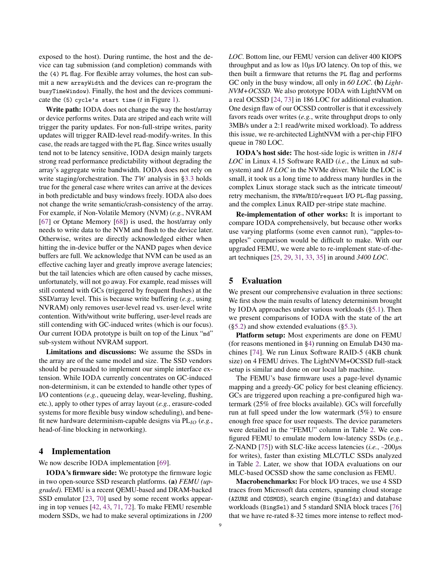exposed to the host). During runtime, the host and the device can tag submission (and completion) commands with the (4) PL flag. For flexible array volumes, the host can submit a new arrayWidth and the devices can re-program the busyTimeWindow). Finally, the host and the devices communicate the  $(5)$  cycle's start time  $(t \text{ in Figure 1}).$ 

Write path: IODA does not change the way the host/array or device performs writes. Data are striped and each write will trigger the parity updates. For non-full-stripe writes, parity updates will trigger RAID-level read-modify-writes. In this case, the reads are tagged with the PL flag. Since writes usually tend not to be latency sensitive, IODA design mainly targets strong read performance predictability without degrading the array's aggregate write bandwidth. IODA does not rely on write staging/orchestration. The  $TW$  analysis in §3.3 holds true for the general case where writes can arrive at the devices in both predictable and busy windows freely. IODA also does not change the write semantic/crash-consistency of the array. For example, if Non-Volatile Memory (NVM) (*e.g.*, NVRAM [67] or Optane Memory [68]) is used, the host/array only needs to write data to the NVM and flush to the device later. Otherwise, writes are directly acknowledged either when hitting the in-device buffer or the NAND pages when device buffers are full. We acknowledge that NVM can be used as an effective caching layer and greatly improve average latencies; but the tail latencies which are often caused by cache misses, unfortunately, will not go away. For example, read misses will still contend with GCs (triggered by frequent flushes) at the SSD/array level. This is because write buffering (*e.g.*, using NVRAM) only removes user-level read vs. user-level write contention. With/without write buffering, user-level reads are still contending with GC-induced writes (which is our focus). Our current IODA prototype is built on top of the Linux "md" sub-system without NVRAM support.

Limitations and discussions: We assume the SSDs in the array are of the same model and size. The SSD vendors should be persuaded to implement our simple interface extension. While IODA currently concentrates on GC-induced non-determinism, it can be extended to handle other types of I/O contentions (*e.g.*, queueing delay, wear-leveling, flushing, etc.), apply to other types of array layout (*e.g.*, erasure-coded systems for more flexible busy window scheduling), and benefit new hardware determinism-capable designs via  $PL_{IO}$  (*e.g.*, head-of-line blocking in networking).

## 4 Implementation

We now describe IODA implementation [69].

IODA's firmware side: We prototype the firmware logic in two open-source SSD research platforms. (a) *FEMU (upgraded).* FEMU is a recent QEMU-based and DRAM-backed SSD emulator [23, 70] used by some recent works appearing in top venues [42, 43, 71, 72]. To make FEMU resemble modern SSDs, we had to make several optimizations in *1200*

*LOC*. Bottom line, our FEMU version can deliver 400 KIOPS throughput and as low as  $10\mu s$  I/O latency. On top of this, we then built a firmware that returns the PL flag and performs GC only in the busy window, all only in *60 LOC*. (b) *Light-NVM+OCSSD.* We also prototype IODA with LightNVM on a real OCSSD [24, 73] in 186 LOC for additional evaluation. One design flaw of our OCSSD controller is that it excessively favors reads over writes (*e.g.*, write throughput drops to only 3MB/s under a 2:1 read/write mixed workload). To address this issue, we re-architected LightNVM with a per-chip FIFO queue in 780 LOC.

IODA's host side: The host-side logic is written in *1814 LOC* in Linux 4.15 Software RAID (*i.e.*, the Linux md subsystem) and *18 LOC* in the NVMe driver. While the LOC is small, it took us a long time to address many hurdles in the complex Linux storage stack such as the intricate timeout/ retry mechanism, the NVMe/BIO/request I/O PL-flag passing, and the complex Linux RAID per-stripe state machine.

Re-implementation of other works: It is important to compare IODA comprehensively, but because other works use varying platforms (some even cannot run), "apples-toapples" comparison would be difficult to make. With our upgraded FEMU, we were able to re-implement state-of-theart techniques [25, 29, 31, 33, 35] in around *3400 LOC*.

## 5 Evaluation

We present our comprehensive evaluation in three sections: We first show the main results of latency determinism brought by IODA approaches under various workloads (§5.1). Then we present comparisons of IODA with the state of the art  $(\S5.2)$  and show extended evaluations  $(\S5.3)$ .

Platform setup: Most experiments are done on FEMU (for reasons mentioned in §4) running on Emulab D430 machines [74]. We run Linux Software RAID-5 (4KB chunk size) on 4 FEMU drives. The LightNVM+OCSSD full-stack setup is similar and done on our local lab machine.

The FEMU's base firmware uses a page-level dynamic mapping and a greedy-GC policy for best cleaning efficiency. GCs are triggered upon reaching a pre-configured high watermark (25% of free blocks available). GCs will forcefully run at full speed under the low watermark (5%) to ensure enough free space for user requests. The device parameters were detailed in the "FEMU" column in Table 2. We configured FEMU to emulate modern low-latency SSDs (*e.g.*, Z-NAND [75]) with SLC-like access latencies  $(i.e., ~200\mu s)$ for writes), faster than existing MLC/TLC SSDs analyzed in Table 2. Later, we show that IODA evaluations on our MLC-based OCSSD show the same conclusion as FEMU.

Macrobenchmarks: For block I/O traces, we use 4 SSD traces from Microsoft data centers, spanning cloud storage (AZURE and COSMOS), search engine (BingIdx) and database workloads (BingSel) and 5 standard SNIA block traces [76] that we have re-rated 8-32 times more intense to reflect mod-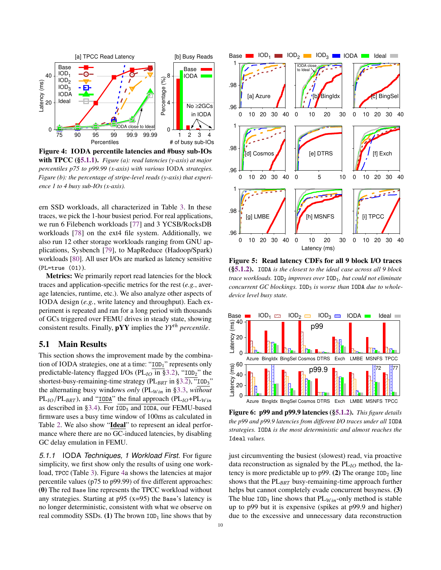

Figure 4: IODA percentile latencies and #busy sub-IOs with TPCC (§5.1.1). *Figure (a): read latencies (y-axis) at major percentiles p75 to p99.99 (x-axis) with various* IODA *strategies. Figure (b): the percentage of stripe-level reads (y-axis) that experience 1 to 4 busy sub-IOs (x-axis).*

ern SSD workloads, all characterized in Table 3. In these traces, we pick the 1-hour busiest period. For real applications, we run 6 Filebench workloads [77] and 3 YCSB/RocksDB workloads [78] on the ext4 file system. Additionally, we also run 12 other storage workloads ranging from GNU applications, Sysbench [79], to MapReduce (Hadoop/Spark) workloads [80]. All user I/Os are marked as latency sensitive (PL=true (01)).

Metrics: We primarily report read latencies for the block traces and application-specific metrics for the rest (*e.g.*, average latencies, runtime, etc.). We also analyze other aspects of IODA design (*e.g.*, write latency and throughput). Each experiment is repeated and ran for a long period with thousands of GCs triggered over FEMU drives in steady state, showing consistent results. Finally,  $pYY$  implies the  $YY<sup>th</sup>$  *percentile*.

# 5.1 Main Results

This section shows the improvement made by the combination of IODA strategies, one at a time: "IOD1" represents only predictable-latency flagged I/Os ( $PL<sub>IO</sub>$  in §3.2), "IOD<sub>2</sub>" the shortest-busy-remaining-time strategy ( $PL_{BRT}$  in §3.2), "IOD<sub>3</sub>" the alternating busy windows *only* (PL<sub>Win</sub> in §3.3, *without*  $PL_{IO}/PL_{BRT}$ ), and "IODA" the final approach ( $PL_{IO} + PL_{Win}$ as described in §3.4). For IOD<sup>3</sup> and IODA, our FEMU-based firmware uses a busy time window of 100ms as calculated in Table 2. We also show "Ideal" to represent an ideal performance where there are no GC-induced latencies, by disabling GC delay emulation in FEMU.

*5.1.1* IODA *Techniques, 1 Workload First.* For figure simplicity, we first show only the results of using one workload, TPCC (Table 3). Figure 4a shows the latencies at major percentile values (p75 to p99.99) of five different approaches: (0) The red Base line represents the TPCC workload without any strategies. Starting at  $p95$  (x=95) the Base's latency is no longer deterministic, consistent with what we observe on real commodity SSDs. (1) The brown  $IOD<sub>1</sub>$  line shows that by



Figure 5: Read latency CDFs for all 9 block I/O traces (§5.1.2). IODA *is the closest to the ideal case across all 9 block trace workloads.* IOD<sub>2</sub> *improves over* IOD<sub>1</sub>*, but could not eliminate* concurrent GC blockings.  $IOD<sub>3</sub>$  *is worse than*  $IODA$  *due to wholedevice level busy state.*



Figure 6: p99 and p99.9 latencies (§5.1.2). *This figure details the p99 and p99.9 latencies from different I/O traces under all* IODA *strategies.* IODA *is the most deterministic and almost reaches the* Ideal *values.*

just circumventing the busiest (slowest) read, via proactive data reconstruction as signaled by the  $PL_{IO}$  method, the latency is more predictable up to p99. (2) The orange  $IOD<sub>2</sub>$  line shows that the  $PL_{BRT}$  busy-remaining-time approach further helps but cannot completely evade concurrent busyness. (3) The blue  $IOD<sub>3</sub>$  line shows that  $PL<sub>Win</sub>$ -only method is stable up to p99 but it is expensive (spikes at p99.9 and higher) due to the excessive and unnecessary data reconstruction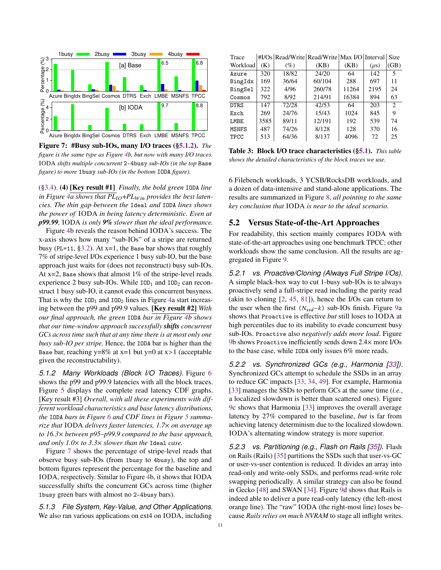

Figure 7: #Busy sub-IOs, many I/O traces (§5.1.2). *The figure is the same type as Figure 4b, but now with many I/O traces.* IODA *shifts multiple concurrent* 2-4busy *sub-IOs (in the top* Base *figure) to more* 1busy *sub-IOs (in the bottom* IODA *figure).*

(§3.4). (4) [Key result #1] *Finally, the bold green* IODA *line* in Figure  $\sqrt{4a}$  shows that  $PL_{IO} + PL_{Win}$  provides the best laten*cies. The thin gap between the* Ideal *and* IODA *lines shows the power of* IODA *in being latency deterministic. Even at p99.99,* IODA *is only 9% slower than the ideal performance.*

Figure 4b reveals the reason behind IODA's success. The x-axis shows how many "sub-IOs" of a stripe are returned busy (PL=11,  $\S$ 3.2). At x=1, the Base bar shows that roughly 7% of stripe-level I/Os experience 1 busy sub-IO, but the base approach just waits for (does not reconstruct) busy sub-IOs. At  $x=2$ , Base shows that almost 1% of the stripe-level reads experience 2 busy sub-IOs. While  $IOD<sub>1</sub>$  and  $IOD<sub>2</sub>$  can reconstruct 1 busy sub-IO, it cannot evade this concurrent busyness. That is why the  $IOD_1$  and  $IOD_2$  lines in Figure 4a start increasing between the p99 and p99.9 values. [Key result #2] *With our final approach, the green* IODA *bar in Figure 4b shows that our time-window approach successfully shifts concurrent GCs across time such that at any time there is at most only one busy sub-IO per stripe.* Hence, the IODA bar is higher than the Base bar, reaching y=8% at x=1 but y=0 at x*>*1 (acceptable given the reconstructability).

*5.1.2 Many Workloads (Block I/O Traces).* Figure 6 shows the p99 and p99.9 latencies with all the block traces. Figure 5 displays the complete read latency CDF graphs. [Key result #3] *Overall, with all these experiments with different workload characteristics and base latency distributions, the* IODA *bars in Figure 6 and CDF lines in Figure 5 summarize that* IODA *delivers faster latencies, 1.7*⇥ *on average up to 16.3*⇥ *between p95–p99.9 compared to the base approach, and only 1.0*⇥ *to 3.3*⇥ *slower than the* Ideal *case.*

Figure 7 shows the percentage of stripe-level reads that observe busy sub-IOs (from 1busy to 4busy), the top and bottom figures represent the percentage for the baseline and IODA, respectively. Similar to Figure 4b, it shows that IODA successfully shifts the concurrent GCs across time (higher 1busy green bars with almost no 2-4busy bars).

*5.1.3 File System, Key-Value, and Other Applications.* We also ran various applications on ext4 on IODA, including

| Trace        |      | #I/Os Read/Write Read/Write Max I/O Interval |        |       |           | <b>Size</b>   |
|--------------|------|----------------------------------------------|--------|-------|-----------|---------------|
| Workload     | (K)  | $(\%)$                                       | (KB)   | (KB)  | $(\mu s)$ | (GB)          |
| Azure        | 320  | 18/82                                        | 24/20  | 64    | 142       | 5             |
| BingIdx      | 169  | 36/64                                        | 60/104 | 288   | 697       | 11            |
| BingSel      | 322  | 4/96                                         | 260/78 | 11264 | 2195      | 24            |
| Cosmos       | 792  | 8/92                                         | 214/91 | 16384 | 894       | 63            |
| <b>DTRS</b>  | 147  | 72/28                                        | 42/53  | 64    | 203       | $\mathcal{L}$ |
| Exch         | 269  | 24/76                                        | 15/43  | 1024  | 845       | 9             |
| <b>LMBE</b>  | 3585 | 89/11                                        | 12/191 | 192   | 539       | 74            |
| <b>MSNFS</b> | 487  | 74/26                                        | 8/128  | 128   | 370       | 16            |
| <b>TPCC</b>  | 513  | 64/36                                        | 8/137  | 4096  | 72        | 25            |

Table 3: Block I/O trace characteristics (§5.1). *This table shows the detailed characteristics of the block traces we use.*

6 Filebench workloads, 3 YCSB/RocksDB workloads, and a dozen of data-intensive and stand-alone applications. The results are summarized in Figure 8, *all pointing to the same key conclusion that* IODA *is near to the ideal scenario.*

## 5.2 Versus State-of-the-Art Approaches

For readability, this section mainly compares IODA with state-of-the-art approaches using one benchmark TPCC; other workloads show the same conclusion. All the results are aggregated in Figure 9.

*5.2.1 vs. Proactive/Cloning (Always Full Stripe I/Os).* A simple black-box way to cut 1-busy sub-IOs is to always proactively send a full-stripe read including the parity read (akin to cloning [2, 45, 81]), hence the I/Os can return to the user when the first  $(N_{ssd}-k)$  sub-IOs finish. Figure 9a shows that Proactive is effective *but* still loses to IODA at high percentiles due to its inability to evade concurrent busy sub-IOs. Proactive also *negatively adds more load*. Figure 9b shows Proactive inefficiently sends down  $2.4\times$  more I/Os to the base case, while IODA only issues 6% more reads.

*5.2.2 vs. Synchronized GCs (e.g., Harmonia [33]).* Synchronized GCs attempt to schedule the SSDs in an array to reduce GC impacts [33, 34, 49]. For example, Harmonia [33] manages the SSDs to perform GCs at the *same* time (*i.e.*, a localized slowdown is better than scattered ones). Figure 9c shows that Harmonia [33] improves the overall average latency by 27% compared to the baseline, *but* is far from achieving latency determinism due to the localized slowdown. IODA's alternating window strategy is more superior.

*5.2.3 vs. Partitioning (e.g., Flash on Rails [35]).* Flash on Rails (Rails) [35] partitions the SSDs such that user-vs-GC or user-vs-user contention is reduced. It divides an array into read-only and write-only SSDs, and performs read-write role swapping periodically. A similar strategy can also be found in Gecko [48] and SWAN [34]. Figure 9d shows that Rails is indeed able to deliver a pure read-only latency (the left-most orange line). The "raw" IODA (the right-most line) loses because *Rails relies on much NVRAM* to stage all inflight writes.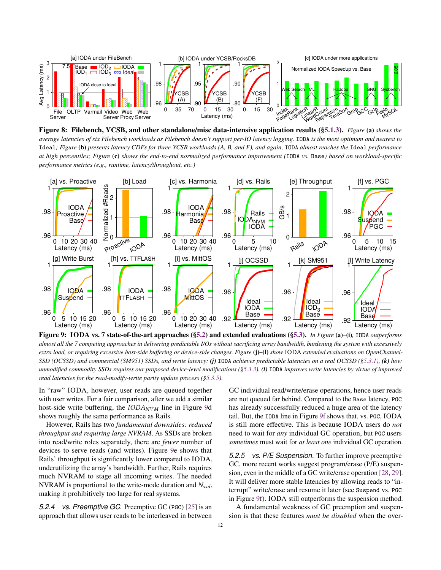

Figure 8: Filebench, YCSB, and other standalone/misc data-intensive application results (§5.1.3). *Figure* (a) *shows the average latencies of six Filebench workloads as Filebench doesn't support per-IO latency logging.* IODA *is the most optimum and nearest to* Ideal*; Figure* (b) *presents latency CDFs for three YCSB workloads (A, B, and F), and again,* IODA *almost reaches the* Ideal *performance at high percentiles; Figure* (c) *shows the end-to-end normalized performance improvement (*IODA *vs.* Base*) based on workload-specific performance metrics (e.g., runtime, latency/throughout, etc.)*



Figure 9: IODA vs. 7 state-of-the-art approaches (§5.2) and extended evaluations (§5.3). *In Figure* (a)*–*(i)*,* IODA *outperforms almost all the 7 competing approaches in delivering predictable I/Os without sacrificing array bandwidth, burdening the system with excessively extra load, or requiring excessive host-side buffering or device-side changes. Figure* (j)–(l) *show* IODA *extended evaluations on OpenChannel-SSD (OCSSD) and commercial (SM951) SSDs, and write latency: (j)* IODA *achieves predictable latencies on a real OCSSD (§5.3.1), (k) how unmodified commodity SSDs requires our proposed device-level modifications (§5.3.3). (l)* IODA *improves write latencies by virtue of improved read latencies for the read-modify-write parity update process (§5.3.5).*

In "raw" IODA, however, user reads are queued together with user writes. For a fair comparison, after we add a similar host-side write buffering, the  $IODA_{NVM}$  line in Figure 9d shows roughly the same performance as Rails.

However, Rails has two *fundamental downsides: reduced throughput and requiring large NVRAM*. As SSDs are broken into read/write roles separately, there are *fewer* number of devices to serve reads (and writes). Figure 9e shows that Rails' throughput is significantly lower compared to IODA, underutilizing the array's bandwidth. Further, Rails requires much NVRAM to stage all incoming writes. The needed NVRAM is proportional to the write-mode duration and  $N_{ssd}$ , making it prohibitively too large for real systems.

*5.2.4 vs. Preemptive GC.* Preemptive GC (PGC) [25] is an approach that allows user reads to be interleaved in between GC individual read/write/erase operations, hence user reads are not queued far behind. Compared to the Base latency, PGC has already successfully reduced a huge area of the latency tail. But, the IODA line in Figure 9f shows that, vs. PGC, IODA is still more effective. This is because IODA users do *not* need to wait for *any* individual GC operation, but PGC users *sometimes* must wait for *at least one* individual GC operation.

*5.2.5 vs. P/E Suspension.* To further improve preemptive GC, more recent works suggest program/erase (P/E) suspension, even in the middle of a GC write/erase operation [28, 29]. It will deliver more stable latencies by allowing reads to "interrupt" write/erase and resume it later (see Suspend vs. PGC in Figure 9f). IODA still outperforms the suspension method.

A fundamental weakness of GC preemption and suspension is that these features *must be disabled* when the over-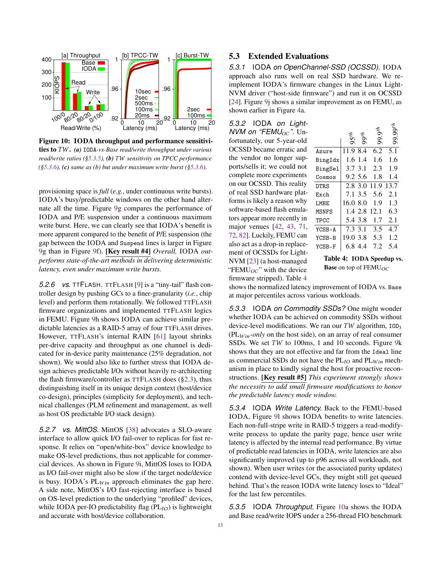

Figure 10: IODA throughput and performance sensitivities to TW. (a) IODA-vs-Base read/write throughput under various *read/write ratios (§5.3.5), (b) TW sensitivity on TPCC performance (§5.3.6), (c) same as (b) but under maximum write burst (§5.3.6).*

provisioning space is *full* (*e.g.*, under continuous write bursts). IODA's busy/predictable windows on the other hand alternate all the time. Figure 9g compares the performance of IODA and P/E suspension under a continuous maximum write burst. Here, we can clearly see that IODA's benefit is more apparent compared to the benefit of P/E suspension (the gap between the IODA and Suspend lines is larger in Figure 9g than in Figure 9f). [Key result #4] *Overall,* IODA *outperforms state-of-the-art methods in delivering deterministic latency, even under maximum write bursts.*

*5.2.6 vs.* TTFLASH*.* TTFLASH [9] is a "tiny-tail" flash controller design by pushing GCs to a finer-granularity (*i.e.*, chip level) and perform them rotationally. We followed TTFLASH firmware organizations and implemented TTFLASH logics in FEMU. Figure 9h shows IODA can achieve similar predictable latencies as a RAID-5 array of four TTFLASH drives. However, TTFLASH's internal RAIN [61] layout shrinks per-drive capacity and throughput as one channel is dedicated for in-device parity maintenance (25% degradation, not shown). We would also like to further stress that IODA design achieves predictable I/Os without heavily re-architecting the flash firmware/controller as TTFLASH does (§2.3), thus distinguishing itself in its unique design context (host/device co-design), principles (simplicity for deployment), and technical challenges (PLM refinement and management, as well as host OS predictable I/O stack design).

*5.2.7 vs. MittOS.* MittOS [38] advocates a SLO-aware interface to allow quick I/O fail-over to replicas for fast response. It relies on "open/white-box" device knowledge to make OS-level predictions, thus not applicable for commercial devices. As shown in Figure 9i, MittOS loses to IODA as I/O fail-over might also be slow if the target node/device is busy. IODA's  $PL_{Win}$  approach eliminates the gap here. A side note, MittOS's I/O fast-rejecting interface is based on OS-level prediction to the underlying "profiled" devices, while IODA per-IO predictability flag  $(PL<sub>IO</sub>)$  is lightweight and accurate with host/device collaboration.

# 5.3 Extended Evaluations

*5.3.1* IODA *on OpenChannel-SSD (OCSSD).* IODA approach also runs well on real SSD hardware. We reimplement IODA's firmware changes in the Linux Light-NVM driver ("host-side firmware") and run it on OCSSD [24]. Figure 9j shows a similar improvement as on FEMU, as shown earlier in Figure 4a.

*5.3.2* IODA *on Light-NVM on "FEMU<sub>OC</sub>"*. Unfortunately, our 5-year-old OCSSD became erratic and the vendor no longer supports/sells it; we could not complete more experiments on our OCSSD. This reality of real SSD hardware platforms is likely a reason why software-based flash emulators appear more recently in major venues [42, 43, 71, 72, 82]. Luckily, FEMU can also act as a drop-in replacement of OCSSDs for Light-NVM [23] (a host-managed "FEMU $_{OC}$ " with the device firmware stripped). Table 4

|                            | 95 <sup>th</sup> | $99^{th}$    | $99.9^{th}$       | 99.99th          |
|----------------------------|------------------|--------------|-------------------|------------------|
| Azure                      | 11.9 8.4         |              | 6.2               | $\overline{5.1}$ |
| BingIdx                    |                  | $1.6 \; 1.4$ | 1.6               | 1.6              |
| BingSel                    |                  | 3.7 3.1      | 2.3               | 1.9              |
| Cosmos                     |                  |              | 9.2 5.6 1.8       | 1.4              |
| <b>DTRS</b>                |                  |              | 2.8 3.0 11.9 13.7 |                  |
| $\mathop{\hbox{\rm Exch}}$ |                  | 7.1 3.5      | 5.6               | 2.1              |
| LMBE                       | 16.08.0          |              | 1.9               | 1.3              |
| MSNFS                      |                  |              | 1.4 2.8 12.1      | 6.3              |
| TPCC                       |                  | 5.4 3.8      | 1.7               | 2.1              |
| YCSB-A                     |                  | 7.3 3.1      | 3.5               | 4.7              |
| YCSB-B                     | 19.0 3.8         |              | 5.3               | 1.2              |
| YCSB-F                     |                  | 6.8 4.4      | 7.2               | 5.4              |

Table 4: IODA Speedup vs. **Base** on top of FEMU $_{OC}$ 

shows the normalized latency improvement of IODA vs. Base at major percentiles across various workloads.

*5.3.3* IODA *on Commodity SSDs?* One might wonder whether IODA can be achieved on commodity SSDs without device-level modifications. We ran our  $TW$  algorithm,  $IOD<sub>3</sub>$  $(PL_{Win}\text{-}only \text{ on the host side})$ , on an array of real consumer SSDs. We set  $TW$  to 100ms, 1 and 10 seconds. Figure 9k shows that they are not effective and far from the Ideal line as commercial SSDs do not have the  $PL_{IO}$  and  $PL_{Win}$  mechanism in place to kindly signal the host for proactive reconstructions. [Key result #5] *This experiment strongly shows the necessity to add small firmware modifications to honor the predictable latency mode window.*

*5.3.4* IODA *Write Latency.* Back to the FEMU-based IODA, Figure 9l shows IODA benefits to write latencies. Each non-full-stripe write in RAID-5 triggers a read-modifywrite process to update the parity page, hence user write latency is affected by the internal read performance. By virtue of predictable read latencies in IODA, write latencies are also significantly improved (up to p96 across all workloads, not shown). When user writes (or the associated parity updates) contend with device-level GCs, they might still get queued behind. That's the reason IODA write latency loses to "Ideal" for the last few percentiles.

*5.3.5* IODA *Throughput.* Figure 10a shows the IODA and Base read/write IOPS under a 256-thread FIO benchmark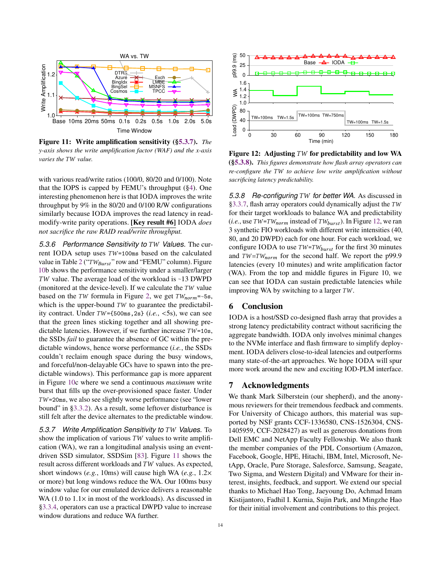

Figure 11: Write amplification sensitivity (§5.3.7). *The y-axis shows the write amplification factor (WAF) and the x-axis varies the* TW value.

with various read/write ratios (100/0, 80/20 and 0/100). Note that the IOPS is capped by FEMU's throughput (§4). One interesting phenomenon here is that IODA improves the write throughput by 9% in the 80/20 and 0/100 R/W configurations similarly because IODA improves the read latency in readmodify-write parity operations. [Key result #6] IODA *does not sacrifice the raw RAID read/write throughput.*

5.3.6 Performance Sensitivity to TW Values. The current IODA setup uses  $TW=100$ ms based on the calculated value in Table 2 (" $TW_{Burst}$ " row and "FEMU" column). Figure 10b shows the performance sensitivity under a smaller/larger TW value. The average load of the workload is  $~13$  DWPD (monitored at the device-level). If we calculate the  $TW$  value based on the TW formula in Figure 2, we get  $TW_{norm}$ =~5s, which is the upper-bound  $TW$  to guarantee the predictability contract. Under  $TW = \{500 \text{ms}, 2s\}$  (*i.e.*,  $\langle 5s \rangle$ , we can see that the green lines sticking together and all showing predictable latencies. However, if we further increase  $TW=10s$ , the SSDs *fail* to guarantee the absence of GC within the predictable windows, hence worse performance (*i.e.*, the SSDs couldn't reclaim enough space during the busy windows, and forceful/non-delayable GCs have to spawn into the predictable windows). This performance gap is more apparent in Figure 10c where we send a continuous *maximum* write burst that fills up the over-provisioned space faster. Under  $TW = 20$ ms, we also see slightly worse performance (see "lower bound" in §3.3.2). As a result, some leftover disturbance is still felt after the device alternates to the predictable window.

5.3.7 Write Amplification Sensitivity to TW Values. To show the implication of various  $TW$  values to write amplification (WA), we ran a longitudinal analysis using an eventdriven SSD simulator, SSDSim [83]. Figure 11 shows the result across different workloads and  $TW$  values. As expected, short windows  $(e.g., 10\text{ms})$  will cause high WA  $(e.g., 1.2\times$ or more) but long windows reduce the WA. Our 100ms busy window value for our emulated device delivers a reasonable WA (1.0 to  $1.1 \times$  in most of the workloads). As discussed in §3.3.4, operators can use a practical DWPD value to increase window durations and reduce WA further.



Figure 12: Adjusting  $TW$  for predictability and low WA (§5.3.8). *This figures demonstrate how flash array operators can re-configure the* TW to achieve low write amplification without *sacrificing latency predictability.*

5.3.8 Re-configuring TW for better WA. As discussed in §3.3.7, flash array operators could dynamically adjust the  $TW$ for their target workloads to balance WA and predictability (*i.e.*, use  $TW = TW_{norm}$  instead of  $TW_{burst}$ ). In Figure 12, we ran 3 synthetic FIO workloads with different write intensities (40, 80, and 20 DWPD) each for one hour. For each workload, we configure IODA to use  $TW = TW_{burst}$  for the first 30 minutes and  $TW = TW_{norm}$  for the second half. We report the p99.9 latencies (every 10 minutes) and write amplification factor (WA). From the top and middle figures in Figure 10, we can see that IODA can sustain predictable latencies while improving WA by switching to a larger  $TW$ .

## 6 Conclusion

IODA is a host/SSD co-designed flash array that provides a strong latency predictability contract without sacrificing the aggregate bandwidth. IODA only involves minimal changes to the NVMe interface and flash firmware to simplify deployment. IODA delivers close-to-ideal latencies and outperforms many state-of-the-art approaches. We hope IODA will spur more work around the new and exciting IOD-PLM interface.

## 7 Acknowledgments

We thank Mark Silberstein (our shepherd), and the anonymous reviewers for their tremendous feedback and comments. For University of Chicago authors, this material was supported by NSF grants CCF-1336580, CNS-1526304, CNS-1405959, CCF-2028427) as well as generous donations from Dell EMC and NetApp Faculty Fellowship. We also thank the member companies of the PDL Consortium (Amazon, Facebook, Google, HPE, Hitachi, IBM, Intel, Microsoft, NetApp, Oracle, Pure Storage, Salesforce, Samsung, Seagate, Two Sigma, and Western Digital) and VMware for their interest, insights, feedback, and support. We extend our special thanks to Michael Hao Tong, Jaeyoung Do, Achmad Imam Kistijantoro, Fadhil I. Kurnia, Sujin Park, and Mingzhe Hao for their initial involvement and contributions to this project.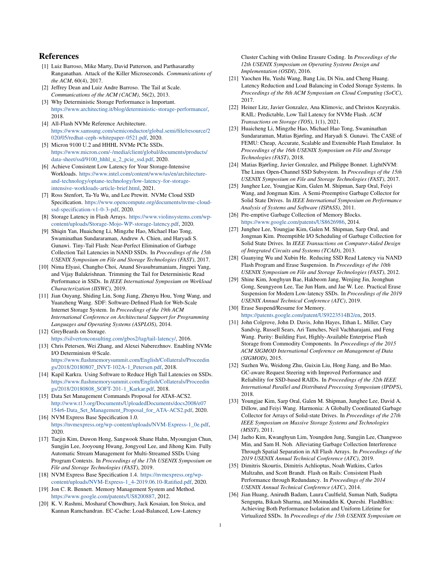## References

- [1] Luiz Barroso, Mike Marty, David Patterson, and Parthasarathy Ranganathan. Attack of the Killer Microseconds. *Communications of the ACM*, 60(4), 2017.
- [2] Jeffrey Dean and Luiz Andre Barroso. The Tail at Scale. *Communications of the ACM (CACM)*, 56(2), 2013.
- [3] Why Deterministic Storage Performance is Important. https://www.architecting.it/blog/deterministic-storage-performance/, 2018.
- [4] All-Flash NVMe Reference Architecture. https://www.samsung.com/semiconductor/global.semi/file/resource/2 020/05/redhat-ceph-whitepaper-0521.pdf, 2020.
- [5] Micron 9100 U.2 and HHHL NVMe PCIe SSDs. https://www.micron.com/-/media/client/global/documents/products/ data-sheet/ssd/9100\_hhhl\_u\_2\_pcie\_ssd.pdf, 2020.
- [6] Achieve Consistent Low Latency for Your Storage-Intensive Workloads. https://www.intel.com/content/www/us/en/architectureand-technology/optane-technology/low-latency-for-storageintensive-workloads-article-brief.html, 2021.
- [7] Ross Stenfort, Ta-Yu Wu, and Lee Prewitt. NVMe Cloud SSD Specification. https://www.opencompute.org/documents/nvme-cloudssd-specification-v1-0-3-pdf, 2020.
- [8] Storage Latency in Flash Arrays. https://www.violinsystems.com/wpcontent/uploads/Storage-Mojo-WP-storage-latency.pdf, 2020.
- [9] Shiqin Yan, Huaicheng Li, Mingzhe Hao, Michael Hao Tong, Swaminathan Sundararaman, Andrew A. Chien, and Haryadi S. Gunawi. Tiny-Tail Flash: Near-Perfect Elimination of Garbage Collection Tail Latencies in NAND SSDs. In *Proceedings of the 15th USENIX Symposium on File and Storage Technologies (FAST)*, 2017.
- [10] Nima Elyasi, Changho Choi, Anand Sivasubramaniam, Jingpei Yang, and Vijay Balakrishnan. Trimming the Tail for Deterministic Read Performance in SSDs. In *IEEE International Symposium on Workload Characterization (IISWC)*, 2019.
- [11] Jian Ouyang, Shiding Lin, Song Jiang, Zhenyu Hou, Yong Wang, and Yuanzheng Wang. SDF: Software-Defined Flash for Web-Scale Internet Storage System. In *Proceedings of the 19th ACM International Conference on Architectural Support for Programming Languages and Operating Systems (ASPLOS)*, 2014.
- [12] GreyBeards on Storage. https://silvertonconsulting.com/gbos2/tag/tail-latency/, 2016.
- [13] Chris Petersen, Wei Zhang, and Alexei Naberezhnov. Enabling NVMe I/O Determinism @Scale. https://www.flashmemorysummit.com/English/Collaterals/Proceedin gs/2018/20180807\_INVT-102A-1\_Petersen.pdf, 2018.
- [14] Kapil Karkra. Using Software to Reduce High Tail Latencies on SSDs. https://www.flashmemorysummit.com/English/Collaterals/Proceedin gs/2018/20180808\_SOFT-201-1\_Karkar.pdf, 2018.
- [15] Data Set Management Commands Proposal for ATA8-ACS2. http://www.t13.org/Documents/UploadedDocuments/docs2008/e07 154r6-Data\_Set\_Management\_Proposal\_for\_ATA-ACS2.pdf, 2020. [16] NVM Express Base Specification 1.0.
- https://nvmexpress.org/wp-content/uploads/NVM-Express-1\_0e.pdf, 2020.
- [17] Taejin Kim, Duwon Hong, Sangwook Shane Hahn, Myoungjun Chun, Sungjin Lee, Jooyoung Hwang, Jongyoul Lee, and Jihong Kim. Fully Automatic Stream Management for Multi-Streamed SSDs Using Program Contexts. In *Proceedings of the 17th USENIX Symposium on File and Storage Technologies (FAST)*, 2019.
- [18] NVM Express Base Specification 1.4. https://nvmexpress.org/wpcontent/uploads/NVM-Express-1\_4-2019.06.10-Ratified.pdf, 2020.
- [19] Jon C. R. Bennett. Memory Management System and Method. https://www.google.com/patents/US8200887, 2012.
- [20] K. V. Rashmi, Mosharaf Chowdhury, Jack Kosaian, Ion Stoica, and Kannan Ramchandran. EC-Cache: Load-Balanced, Low-Latency

Cluster Caching with Online Erasure Coding. In *Proceedings of the 12th USENIX Symposium on Operating Systems Design and Implementation (OSDI)*, 2016.

- [21] Yaochen Hu, Yushi Wang, Bang Liu, Di Niu, and Cheng Huang. Latency Reduction and Load Balancing in Coded Storage Systems. In *Proceedings of the 8th ACM Symposium on Cloud Computing (SoCC)*, 2017.
- [22] Heiner Litz, Javier Gonzalez, Ana Klimovic, and Christos Kozyrakis. RAIL: Predictable, Low Tail Latency for NVMe Flash. *ACM Transactions on Storage (TOS)*, 1(1), 2021.
- [23] Huaicheng Li, Mingzhe Hao, Michael Hao Tong, Swaminathan Sundararaman, Matias Bjørling, and Haryadi S. Gunawi. The CASE of FEMU: Cheap, Accurate, Scalable and Extensible Flash Emulator. In *Proceedings of the 16th USENIX Symposium on File and Storage Technologies (FAST)*, 2018.
- [24] Matias Bjørling, Javier Gonzalez, and Philippe Bonnet. LightNVM: The Linux Open-Channel SSD Subsystem. In *Proceedings of the 15th USENIX Symposium on File and Storage Technologies (FAST)*, 2017.
- [25] Junghee Lee, Youngjae Kim, Galen M. Shipman, Sarp Oral, Feiyi Wang, and Jongman Kim. A Semi-Preemptive Garbage Collector for Solid State Drives. In *IEEE International Symposium on Performance Analysis of Systems and Software (ISPASS)*, 2011.
- [26] Pre-emptive Garbage Collection of Memory Blocks. https://www.google.com/patents/US8626986, 2014.
- [27] Junghee Lee, Youngjae Kim, Galen M. Shipman, Sarp Oral, and Jongman Kim. Preemptible I/O Scheduling of Garbage Collection for Solid State Drives. In *IEEE Transactions on Computer-Aided Design of Integrated Circuits and Systems (TCAD)*, 2013.
- [28] Guanying Wu and Xubin He. Reducing SSD Read Latency via NAND Flash Program and Erase Suspension. In *Proceedings of the 10th USENIX Symposium on File and Storage Technologies (FAST)*, 2012.
- [29] Shine Kim, Jonghyun Bae, Hakbeom Jang, Wenjing Jin, Jeonghun Gong, Seungyeon Lee, Tae Jun Ham, and Jae W. Lee. Practical Erase Suspension for Modern Low-latency SSDs. In *Proceedings of the 2019 USENIX Annual Technical Conference (ATC)*, 2019.
- [30] Erase Suspend/Resume for Memory. https://patents.google.com/patent/US9223514B2/en, 2015.
- [31] John Colgrove, John D. Davis, John Hayes, Ethan L. Miller, Cary Sandvig, Russell Sears, Ari Tamches, Neil Vachharajani, and Feng Wang. Purity: Building Fast, Highly-Available Enterprise Flash Storage from Commodity Components. In *Proceedings of the 2015 ACM SIGMOD International Conference on Management of Data (SIGMOD)*, 2015.
- [32] Suzhen Wu, Weidong Zhu, Guixin Liu, Hong Jiang, and Bo Mao. GC-aware Request Steering with Improved Performance and Reliability for SSD-based RAIDs. In *Proceedings of the 32th IEEE International Parallel and Distributed Processing Symposium (IPDPS)*, 2018.
- [33] Youngjae Kim, Sarp Oral, Galen M. Shipman, Junghee Lee, David A. Dillow, and Feiyi Wang. Harmonia: A Globally Coordinated Garbage Collector for Arrays of Solid-state Drives. In *Proceedings of the 27th IEEE Symposium on Massive Storage Systems and Technologies (MSST)*, 2011.
- [34] Jaeho Kim, Kwanghyun Lim, Youngdon Jung, Sungjin Lee, Changwoo Min, and Sam H. Noh. Alleviating Garbage Collection Interference Through Spatial Separation in All Flash Arrays. In *Proceedings of the 2019 USENIX Annual Technical Conference (ATC)*, 2019.
- [35] Dimitris Skourtis, Dimitris Achlioptas, Noah Watkins, Carlos Maltzahn, and Scott Brandt. Flash on Rails: Consistent Flash Performance through Redundancy. In *Proceedings of the 2014 USENIX Annual Technical Conference (ATC)*, 2014.
- [36] Jian Huang, Anirudh Badam, Laura Caulfield, Suman Nath, Sudipta Sengupta, Bikash Sharma, and Moinuddin K. Qureshi. FlashBlox: Achieving Both Performance Isolation and Uniform Lifetime for Virtualized SSDs. In *Proceedings of the 15th USENIX Symposium on*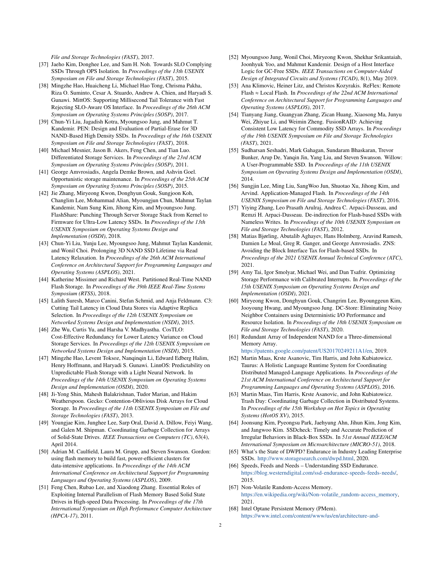*File and Storage Technologies (FAST)*, 2017.

- [37] Jaeho Kim, Donghee Lee, and Sam H. Noh. Towards SLO Complying SSDs Through OPS Isolation. In *Proceedings of the 13th USENIX Symposium on File and Storage Technologies (FAST)*, 2015.
- [38] Mingzhe Hao, Huaicheng Li, Michael Hao Tong, Chrisma Pakha, Riza O. Suminto, Cesar A. Stuardo, Andrew A. Chien, and Haryadi S. Gunawi. MittOS: Supporting Millisecond Tail Tolerance with Fast Rejecting SLO-Aware OS Interface. In *Proceedings of the 26th ACM Symposium on Operating Systems Principles (SOSP)*, 2017.
- [39] Chun-Yi Liu, Jagadish Kotra, Myoungsoo Jung, and Mahmut T. Kandemir. PEN: Design and Evaluation of Partial-Erase for 3D NAND-Based High Density SSDs. In *Proceedings of the 16th USENIX Symposium on File and Storage Technologies (FAST)*, 2018.
- [40] Michael Mesnier, Jason B. Akers, Feng Chen, and Tian Luo. Differentiated Storage Services. In *Proceedings of the 23rd ACM Symposium on Operating Systems Principles (SOSP)*, 2011.
- [41] George Amvrosiadis, Angela Demke Brown, and Ashvin Goel. Opportunistic storage maintenance. In *Proceedings of the 25th ACM Symposium on Operating Systems Principles (SOSP)*, 2015.
- [42] Jie Zhang, Miryeong Kwon, Donghyun Gouk, Sungjoon Koh, Changlim Lee, Mohammad Alian, Myoungjun Chun, Mahmut Taylan Kandemir, Nam Sung Kim, Jihong Kim, and Myoungsoo Jung. FlashShare: Punching Through Server Storage Stack from Kernel to Firmware for Ultra-Low Latency SSDs. In *Proceedings of the 13th USENIX Symposium on Operating Systems Design and Implementation (OSDI)*, 2018.
- [43] Chun-Yi Liu, Yunju Lee, Myoungsoo Jung, Mahmut Taylan Kandemir, and Wonil Choi. Prolonging 3D NAND SSD Lifetime via Read Latency Relaxation. In *Proceedings of the 26th ACM International Conference on Architectural Support for Programming Languages and Operating Systems (ASPLOS)*, 2021.
- [44] Katherine Missimer and Richard West. Partitioned Real-Time NAND Flash Storage. In *Proceedings of the 39th IEEE Real-Time Systems Symposium (RTSS)*, 2018.
- [45] Lalith Suresh, Marco Canini, Stefan Schmid, and Anja Feldmann. C3: Cutting Tail Latency in Cloud Data Stores via Adaptive Replica Selection. In *Proceedings of the 12th USENIX Symposium on Networked Systems Design and Implementation (NSDI)*, 2015.
- [46] Zhe Wu, Curtis Yu, and Harsha V. Madhyastha. CosTLO: Cost-Effective Redundancy for Lower Latency Variance on Cloud Storage Services. In *Proceedings of the 12th USENIX Symposium on Networked Systems Design and Implementation (NSDI)*, 2015.
- [47] Mingzhe Hao, Levent Toksoz, Nanqinqin Li, Edward Edberg Halim, Henry Hoffmann, and Haryadi S. Gunawi. LinnOS: Predictability on Unpredictable Flash Storage with a Light Neural Network. In *Proceedings of the 14th USENIX Symposium on Operating Systems Design and Implementation (OSDI)*, 2020.
- [48] Ji-Yong Shin, Mahesh Balakrishnan, Tudor Marian, and Hakim Weatherspoon. Gecko: Contention-Oblivious Disk Arrays for Cloud Storage. In *Proceedings of the 11th USENIX Symposium on File and Storage Technologies (FAST)*, 2013.
- [49] Youngjae Kim, Junghee Lee, Sarp Oral, David A. Dillow, Feiyi Wang, and Galen M. Shipman. Coordinating Garbage Collection for Arrays of Solid-State Drives. *IEEE Transactions on Computers (TC)*, 63(4), April 2014.
- [50] Adrian M. Caulfield, Laura M. Grupp, and Steven Swanson. Gordon: using flash memory to build fast, power-efficient clusters for data-intensive applications. In *Proceedings of the 14th ACM International Conference on Architectural Support for Programming Languages and Operating Systems (ASPLOS)*, 2009.
- [51] Feng Chen, Rubao Lee, and Xiaodong Zhang. Essential Roles of Exploiting Internal Parallelism of Flash Memory Based Solid State Drives in High-speed Data Processing. In *Proceedings of the 17th International Symposium on High Performance Computer Architecture (HPCA-17)*, 2011.
- [52] Myoungsoo Jung, Wonil Choi, Miryeong Kwon, Shekhar Srikantaiah, Joonhyuk Yoo, and Mahmut Kandemir. Design of a Host Interface Logic for GC-Free SSDs. *IEEE Transactions on Computer-Aided Design of Integrated Circuits and Systems (TCAD)*, 8(1), May 2019.
- [53] Ana Klimovic, Heiner Litz, and Christos Kozyrakis. ReFlex: Remote  $Flash \approx Local Flash$ . In *Proceedings of the 22nd ACM International Conference on Architectural Support for Programming Languages and Operating Systems (ASPLOS)*, 2017.
- [54] Tianyang Jiang, Guangyan Zhang, Zican Huang, Xiaosong Ma, Junyu Wei, Zhiyue Li, and Weimin Zheng. FusionRAID: Achieving Consistent Low Latency for Commodity SSD Arrays. In *Proceedings of the 19th USENIX Symposium on File and Storage Technologies (FAST)*, 2021.
- [55] Sudharsan Seshadri, Mark Gahagan, Sundaram Bhaskaran, Trevor Bunker, Arup De, Yanqin Jin, Yang Liu, and Steven Swanson. Willow: A User-Programmable SSD. In *Proceedings of the 11th USENIX Symposium on Operating Systems Design and Implementation (OSDI)*, 2014.
- [56] Sungjin Lee, Ming Liu, SangWoo Jun, Shuotao Xu, Jihong Kim, and Arvind. Application-Managed Flash. In *Proceedings of the 14th USENIX Symposium on File and Storage Technologies (FAST)*, 2016.
- [57] Yiying Zhang, Leo Prasath Arulraj, Andrea C. Arpaci-Dusseau, and Remzi H. Arpaci-Dusseau. De-indirection for Flash-based SSDs with Nameless Writes. In *Proceedings of the 10th USENIX Symposium on File and Storage Technologies (FAST)*, 2012.
- [58] Matias Bjørling, Abutalib Aghayev, Hans Holmberg, Aravind Ramesh, Damien Le Moal, Greg R. Ganger, and George Amvrosiadis. ZNS: Avoiding the Block Interface Tax for Flash-based SSDs. In *Proceedings of the 2021 USENIX Annual Technical Conference (ATC)*, 2021.
- [59] Amy Tai, Igor Smolyar, Michael Wei, and Dan Tsafrir. Optimizing Storage Performance with Calibrated Interrupts. In *Proceedings of the 15th USENIX Symposium on Operating Systems Design and Implementation (OSDI)*, 2021.
- [60] Miryeong Kwon, Donghyun Gouk, Changrim Lee, Byounggeun Kim, Jooyoung Hwang, and Myoungsoo Jung. DC-Store: Eliminating Noisy Neighbor Containers using Deterministic I/O Performance and Resource Isolation. In *Proceedings of the 18th USENIX Symposium on File and Storage Technologies (FAST)*, 2020.
- [61] Redundant Array of Independent NAND for a Three-dimensional Memory Array.

https://patents.google.com/patent/US20170249211A1/en, 2019.

- [62] Martin Maas, Krste Asanovic, Tim Harris, and John Kubiatowicz. Taurus: A Holistic Language Runtime System for Coordinating Distributed Managed-Language Applications. In *Proceedings of the 21st ACM International Conference on Architectural Support for Programming Languages and Operating Systems (ASPLOS)*, 2016.
- [63] Martin Maas, Tim Harris, Krste Asanovic, and John Kubiatowicz. Trash Day: Coordinating Garbage Collection in Distributed Systems. In *Proceedings of the 15th Workshop on Hot Topics in Operating Systems (HotOS XV)*, 2015.
- [64] Joonsung Kim, Pyeongsu Park, Jaehyung Ahn, Jihun Kim, Jong Kim, and Jangwoo Kim. SSDcheck: Timely and Accurate Prediction of Irregular Behaviors in Black-Box SSDs. In *51st Annual IEEE/ACM International Symposium on Microarchitecture (MICRO-51)*, 2018.
- [65] What's the State of DWPD? Endurance in Industry Leading Enterprise SSDs. http://www.storagesearch.com/dwpd.html, 2020.
- [66] Speeds, Feeds and Needs Understanding SSD Endurance. https://blog.westerndigital.com/ssd-endurance-speeds-feeds-needs/, 2015.
- [67] Non-Volatile Random-Access Memory. https://en.wikipedia.org/wiki/Non-volatile\_random-access\_memory, 2021.
- [68] Intel Optane Persistent Memory (PMem). https://www.intel.com/content/www/us/en/architecture-and-